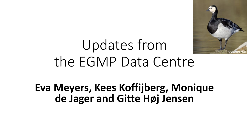

# Updates from the EGMP Data Centre

### **Eva Meyers, Kees Koffijberg, Monique de Jager and Gitte Høj Jensen**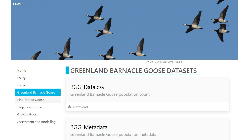

Photo: J.P. Kjeldsen/ornit.dk

Home

Policy

**News** 

• Metadata

Taiga Bean Goose

Greylag Goose

Assessment and modelling

### **GREENLAND BARNACLE GOOSE DATASETS**

#### **BGG\_Data.csv**

Greenland Barnacle Goose<br>
Fink-footed Goose<br>
Fink-footed Goose

 $\triangle$  Download

#### **BGG\_Metadata**

Greenland Barnacle Goose population metadata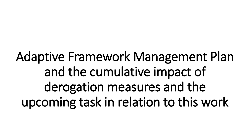Adaptive Framework Management Plan and the cumulative impact of derogation measures and the upcoming task in relation to this work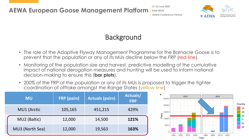**21-23 June 2021 EGM IWG6 Online Conference Format**



### **Background**

- The role of the Adaptive Flyway Management Programme for the Barnacle Goose is to prevent that the population or any of its MUs decline below the FRP (red line).
- Monitoring of the population size and harvest, predictive modelling of the cumulative impact of national derogation measures and hunting will be used to inform national decision-making to ensure this (**bar plots**).
- 200% of the FRP of the population or any of its MUs is proposed to trigger the tighter coordination of offtake amongst the Range States (yellow line)

| <b>MU</b>          | <b>FRP</b> (pairs) | <b>Actuals (pairs)</b> | Actuals/<br><b>FRP</b> |
|--------------------|--------------------|------------------------|------------------------|
| <b>MU1 (Arctic</b> | 105,165            | 451,215                | 429%                   |
| MU2 (Baltic)       | 12,000             | 14,500                 | 121%                   |
| MU3 (North Sea)    | 12,000             | 19,563                 | 163%                   |

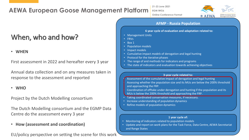#### **AEWA European Goose Management Platform**

**21-23 June 2021**

**EGM IWG6**

**Online Conference Format**



#### **AFMP - Russia Population**

#### **6 year cycle of evaluation and adaptation related to:**

- Management Units
- FRVs
- Box 1
- Population models
- Impact models
- Cumulative impact *models* of derogation and legal hunting
- Protocol for the iterative phases
- The range of and methods for indicators and programs
- The state of indicators and evaluation towards achieving objectives

#### **3-year cycle related to:**

Assessment of the cumulative impact of derogation and legal hunting Assessing whether the population size and its MUs are below the 200% threshold and approaching the FRP.

- Coordination of offtake under derogation and hunting if the population and its
- MUs is below the 200% threshold and approaching the FRP.
- Taking coordinated conservation measures, if necessary.
- Increase understanding of population dynamics
- Refine models of population dynamics

#### **1 year cycle of:**

- Monitoring of indicators related to population models
- Update and report on work plans for the Task Force, Data Centre, AEWA Secretariat and Range States

### When, who and how?

#### • **WHEN**

First assessment in 2022 and hereafter every 3 year

Annual data collection and on any measures taken in response to the assessment and reported

#### • **WHO**

Project by the Dutch Modelling consortium

The Dutch Modelling consortium and the EGMP Data Centre do the assessment every 3 year

• **How (assessment and coordination)**

EU/policy perspective on setting the scene for this work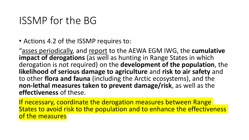### ISSMP for the BG

• Actions 4.2 of the ISSMP requires to:

"asses periodically, and report to the AEWA EGM IWG, the **cumulative impact of derogations** (as well as hunting in Range States in which derogation is not required) on the **development of the population**, the **likelihood of serious damage to agriculture** and **risk to air safety** and to other **flora and fauna** (including the Arctic ecosystems), and the **non-lethal measures taken to prevent damage/risk**, as well as the **effectiveness** of these.

If necessary, coordinate the derogation measures between Range States to avoid risk to the population and to enhance the effectiveness of the measures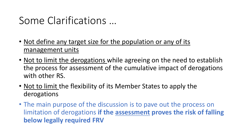## Some Clarifications …

- Not define any target size for the population or any of its management units
- Not to limit the derogations while agreeing on the need to establish the process for assessment of the cumulative impact of derogations with other RS.
- Not to limit the flexibility of its Member States to apply the derogations
- The main purpose of the discussion is to pave out the process on limitation of derogations **if the assessment proves the risk of falling below legally required FRV**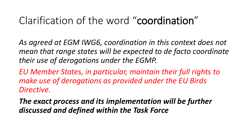## Clarification of the word "coordination"

*As agreed at EGM IWG6, coordination in this context does not mean that range states will be expected to de facto coordinate their use of derogations under the EGMP.* 

*EU Member States, in particular, maintain their full rights to make use of derogations as provided under the EU Birds Directive.* 

*The exact process and its implementation will be further discussed and defined within the Task Force*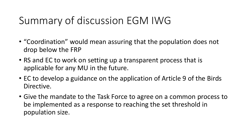## Summary of discussion EGM IWG

- "Coordination" would mean assuring that the population does not drop below the FRP
- RS and EC to work on setting up a transparent process that is applicable for any MU in the future.
- EC to develop a guidance on the application of Article 9 of the Birds Directive.
- Give the mandate to the Task Force to agree on a common process to be implemented as a response to reaching the set threshold in population size.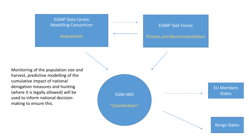#### EGMP Data Centre Modelling Consortium

Assessment

EGMP Task Forces

Process and Recommendations

Monitoring of the population size and harvest, predictive modelling of the cumulative impact of national derogation measures and hunting (where it is legally allowed) will be used to inform national decisionmaking to ensure this.

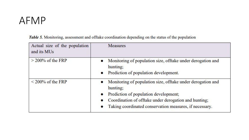### AFMP

| Actual size of the population<br>and its MUs | <b>Measures</b>                                                                                                                                                                                                                                   |
|----------------------------------------------|---------------------------------------------------------------------------------------------------------------------------------------------------------------------------------------------------------------------------------------------------|
| $>$ 200% of the FRP                          | Monitoring of population size, offtake under derogation and<br>hunting;<br>Prediction of population development.<br>$\bullet$                                                                                                                     |
| $\leq$ 200% of the FRP                       | Monitoring of population size, offtake under derogation and<br>$\bullet$<br>hunting;<br>Prediction of population development;<br>Coordination of offtake under derogation and hunting;<br>Taking coordinated conservation measures, if necessary. |

Table 5. Monitoring, assessment and offtake coordination depending on the status of the population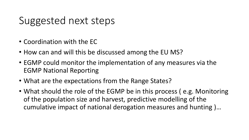## Suggested next steps

- Coordination with the EC
- How can and will this be discussed among the EU MS?
- EGMP could monitor the implementation of any measures via the EGMP National Reporting
- What are the expectations from the Range States?
- What should the role of the EGMP be in this process (e.g. Monitoring of the population size and harvest, predictive modelling of the cumulative impact of national derogation measures and hunting )…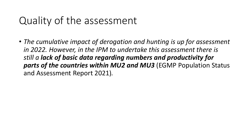## Quality of the assessment

• *The cumulative impact of derogation and hunting is up for assessment in 2022. However, in the IPM to undertake this assessment there is still a lack of basic data regarding numbers and productivity for parts of the countries within MU2 and MU3* (EGMP Population Status and Assessment Report 2021)*.*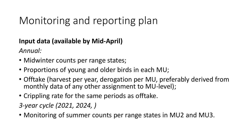## Monitoring and reporting plan

#### **Input data (available by Mid-April)**

*Annual:* 

- Midwinter counts per range states;
- Proportions of young and older birds in each MU;
- Offtake (harvest per year, derogation per MU, preferably derived from monthly data of any other assignment to MU-level);
- Crippling rate for the same periods as offtake.

*3-year cycle (2021, 2024, )* 

• Monitoring of summer counts per range states in MU2 and MU3.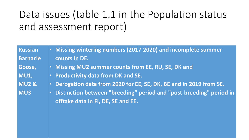## Data issues (table 1.1 in the Population status and assessment report)

| • Missing wintering numbers (2017-2020) and incomplete summer                                                          |
|------------------------------------------------------------------------------------------------------------------------|
| counts in DE.                                                                                                          |
| . Missing MU2 summer counts from EE, RU, SE, DK and                                                                    |
| • Productivity data from DK and SE.                                                                                    |
| Derogation data from 2020 for EE, SE, DK, BE and in 2019 from SE.<br>$\bullet$                                         |
| Distinction between "breeding" period and "post-breeding" period in<br>$\bullet$<br>offtake data in FI, DE, SE and EE. |
|                                                                                                                        |